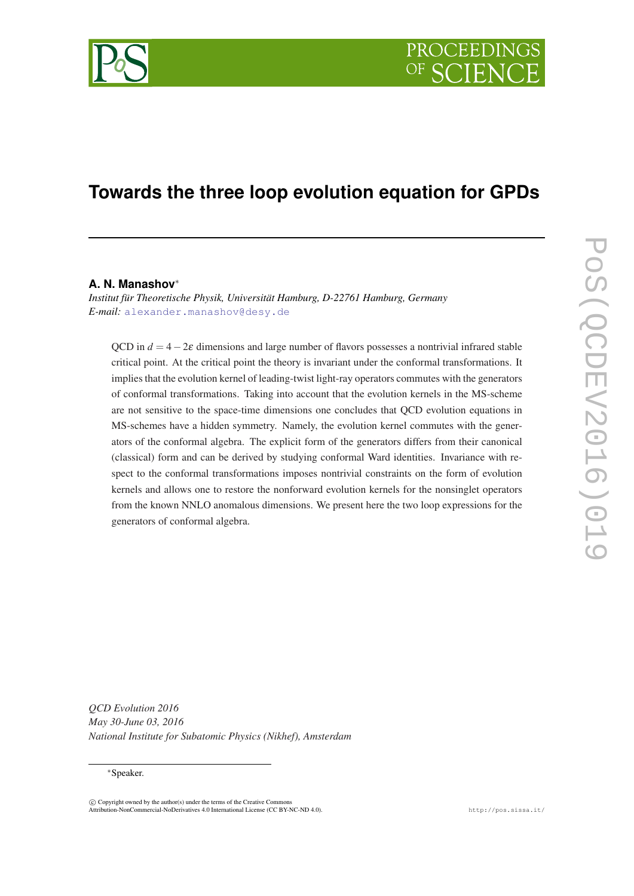

# **Towards the three loop evolution equation for GPDs**

### **A. N. Manashov**<sup>∗</sup>

*Institut für Theoretische Physik, Universität Hamburg, D-22761 Hamburg, Germany E-mail:* [alexander.manashov@desy.de](mailto:alexander.manashov@desy.de)

QCD in  $d = 4-2\varepsilon$  dimensions and large number of flavors possesses a nontrivial infrared stable critical point. At the critical point the theory is invariant under the conformal transformations. It implies that the evolution kernel of leading-twist light-ray operators commutes with the generators of conformal transformations. Taking into account that the evolution kernels in the MS-scheme are not sensitive to the space-time dimensions one concludes that QCD evolution equations in MS-schemes have a hidden symmetry. Namely, the evolution kernel commutes with the generators of the conformal algebra. The explicit form of the generators differs from their canonical (classical) form and can be derived by studying conformal Ward identities. Invariance with respect to the conformal transformations imposes nontrivial constraints on the form of evolution kernels and allows one to restore the nonforward evolution kernels for the nonsinglet operators from the known NNLO anomalous dimensions. We present here the two loop expressions for the generators of conformal algebra.

*QCD Evolution 2016 May 30-June 03, 2016 National Institute for Subatomic Physics (Nikhef), Amsterdam*

<sup>∗</sup>Speaker.

 $\overline{c}$  Copyright owned by the author(s) under the terms of the Creative Commons Attribution-NonCommercial-NoDerivatives 4.0 International License (CC BY-NC-ND 4.0). http://pos.sissa.it/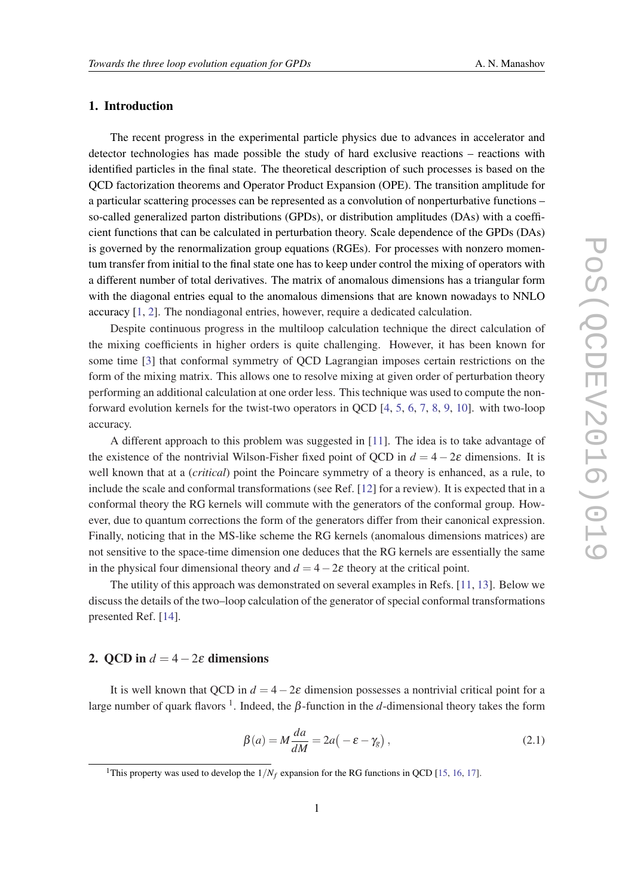## 1. Introduction

The recent progress in the experimental particle physics due to advances in accelerator and detector technologies has made possible the study of hard exclusive reactions – reactions with identified particles in the final state. The theoretical description of such processes is based on the QCD factorization theorems and Operator Product Expansion (OPE). The transition amplitude for a particular scattering processes can be represented as a convolution of nonperturbative functions – so-called generalized parton distributions (GPDs), or distribution amplitudes (DAs) with a coefficient functions that can be calculated in perturbation theory. Scale dependence of the GPDs (DAs) is governed by the renormalization group equations (RGEs). For processes with nonzero momentum transfer from initial to the final state one has to keep under control the mixing of operators with a different number of total derivatives. The matrix of anomalous dimensions has a triangular form with the diagonal entries equal to the anomalous dimensions that are known nowadays to NNLO accuracy [\[1,](#page-7-0) [2\]](#page-7-0). The nondiagonal entries, however, require a dedicated calculation.

Despite continuous progress in the multiloop calculation technique the direct calculation of the mixing coefficients in higher orders is quite challenging. However, it has been known for some time [[3](#page-7-0)] that conformal symmetry of QCD Lagrangian imposes certain restrictions on the form of the mixing matrix. This allows one to resolve mixing at given order of perturbation theory performing an additional calculation at one order less. This technique was used to compute the nonforward evolution kernels for the twist-two operators in QCD [[4](#page-7-0), [5](#page-7-0), [6,](#page-7-0) [7,](#page-7-0) [8](#page-7-0), [9,](#page-7-0) [10](#page-7-0)]. with two-loop accuracy.

A different approach to this problem was suggested in [\[11](#page-7-0)]. The idea is to take advantage of the existence of the nontrivial Wilson-Fisher fixed point of QCD in  $d = 4 - 2\varepsilon$  dimensions. It is well known that at a (*critical*) point the Poincare symmetry of a theory is enhanced, as a rule, to include the scale and conformal transformations (see Ref. [\[12\]](#page-7-0) for a review). It is expected that in a conformal theory the RG kernels will commute with the generators of the conformal group. However, due to quantum corrections the form of the generators differ from their canonical expression. Finally, noticing that in the MS-like scheme the RG kernels (anomalous dimensions matrices) are not sensitive to the space-time dimension one deduces that the RG kernels are essentially the same in the physical four dimensional theory and  $d = 4-2\varepsilon$  theory at the critical point.

The utility of this approach was demonstrated on several examples in Refs. [\[11](#page-7-0), [13](#page-7-0)]. Below we discuss the details of the two–loop calculation of the generator of special conformal transformations presented Ref. [[14\]](#page-7-0).

# 2. OCD in  $d = 4 - 2\varepsilon$  dimensions

It is well known that QCD in  $d = 4-2\varepsilon$  dimension possesses a nontrivial critical point for a large number of quark flavors <sup>1</sup>. Indeed, the  $\beta$ -function in the *d*-dimensional theory takes the form

$$
\beta(a) = M \frac{da}{dM} = 2a(-\varepsilon - \gamma_g), \qquad (2.1)
$$

<sup>&</sup>lt;sup>1</sup>This property was used to develop the  $1/N_f$  expansion for the RG functions in QCD [\[15](#page-7-0), [16,](#page-7-0) [17](#page-7-0)].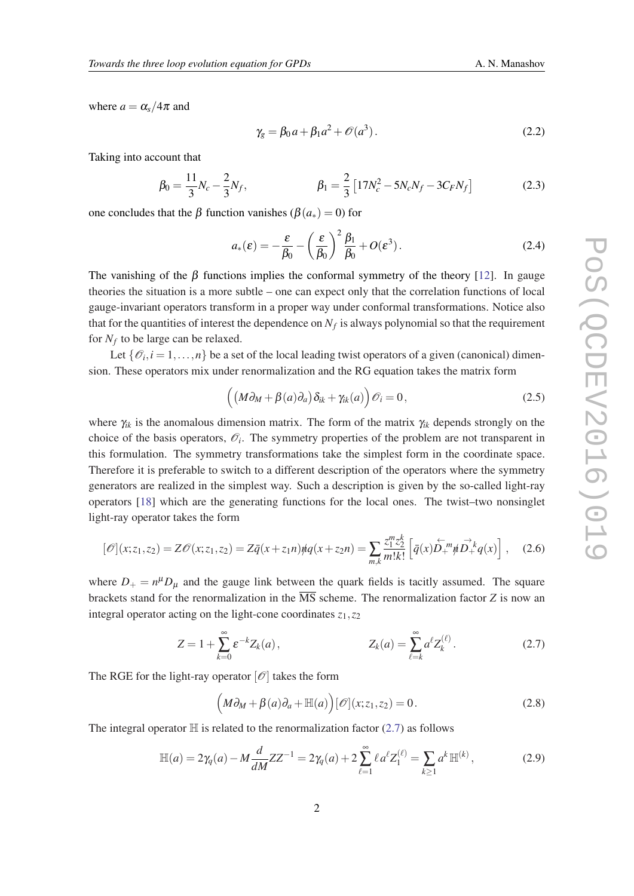where  $a = \alpha_s/4\pi$  and

$$
\gamma_g = \beta_0 a + \beta_1 a^2 + \mathcal{O}(a^3). \tag{2.2}
$$

Taking into account that

$$
\beta_0 = \frac{11}{3} N_c - \frac{2}{3} N_f, \qquad \beta_1 = \frac{2}{3} \left[ 17 N_c^2 - 5 N_c N_f - 3 C_F N_f \right] \tag{2.3}
$$

one concludes that the β function vanishes ( $β(a_*) = 0$ ) for

$$
a_*(\varepsilon) = -\frac{\varepsilon}{\beta_0} - \left(\frac{\varepsilon}{\beta_0}\right)^2 \frac{\beta_1}{\beta_0} + O(\varepsilon^3).
$$
 (2.4)

The vanishing of the  $\beta$  functions implies the conformal symmetry of the theory [\[12](#page-7-0)]. In gauge theories the situation is a more subtle – one can expect only that the correlation functions of local gauge-invariant operators transform in a proper way under conformal transformations. Notice also that for the quantities of interest the dependence on  $N_f$  is always polynomial so that the requirement for *N<sup>f</sup>* to be large can be relaxed.

Let  $\{\mathcal{O}_i, i = 1, \ldots, n\}$  be a set of the local leading twist operators of a given (canonical) dimension. These operators mix under renormalization and the RG equation takes the matrix form

$$
((M\partial_M + \beta(a)\partial_a)\delta_{ik} + \gamma_{ik}(a))\mathcal{O}_i = 0, \qquad (2.5)
$$

where γ*ik* is the anomalous dimension matrix. The form of the matrix γ*ik* depends strongly on the choice of the basis operators,  $\mathcal{O}_i$ . The symmetry properties of the problem are not transparent in this formulation. The symmetry transformations take the simplest form in the coordinate space. Therefore it is preferable to switch to a different description of the operators where the symmetry generators are realized in the simplest way. Such a description is given by the so-called light-ray operators [[18](#page-8-0)] which are the generating functions for the local ones. The twist–two nonsinglet light-ray operator takes the form

$$
[\mathcal{O}](x; z_1, z_2) = Z\mathcal{O}(x; z_1, z_2) = Z\bar{q}(x + z_1 n) \eta q(x + z_2 n) = \sum_{m,k} \frac{z_1^m z_2^k}{m! k!} \left[ \bar{q}(x) \stackrel{\leftarrow}{D_{+}}{}^m \eta \stackrel{\rightarrow}{D_{+}}{}^k q(x) \right], \quad (2.6)
$$

where  $D_+ = n^\mu D_\mu$  and the gauge link between the quark fields is tacitly assumed. The square brackets stand for the renormalization in the MS scheme. The renormalization factor *Z* is now an integral operator acting on the light-cone coordinates  $z_1$ ,  $z_2$ 

$$
Z = 1 + \sum_{k=0}^{\infty} \varepsilon^{-k} Z_k(a), \qquad Z_k(a) = \sum_{\ell=k}^{\infty} a^{\ell} Z_k^{(\ell)}.
$$
 (2.7)

The RGE for the light-ray operator  $\lbrack \mathcal{O} \rbrack$  takes the form

$$
(\mathcal{M}\partial_{\mathcal{M}} + \beta(a)\partial_a + \mathbb{H}(a))[\mathcal{O}](x; z_1, z_2) = 0.
$$
 (2.8)

The integral operator  $\mathbb H$  is related to the renormalization factor (2.7) as follows

$$
\mathbb{H}(a) = 2\gamma_q(a) - M \frac{d}{dM} Z Z^{-1} = 2\gamma_q(a) + 2 \sum_{\ell=1}^{\infty} \ell a^{\ell} Z_1^{(\ell)} = \sum_{k \ge 1} a^k \mathbb{H}^{(k)},
$$
(2.9)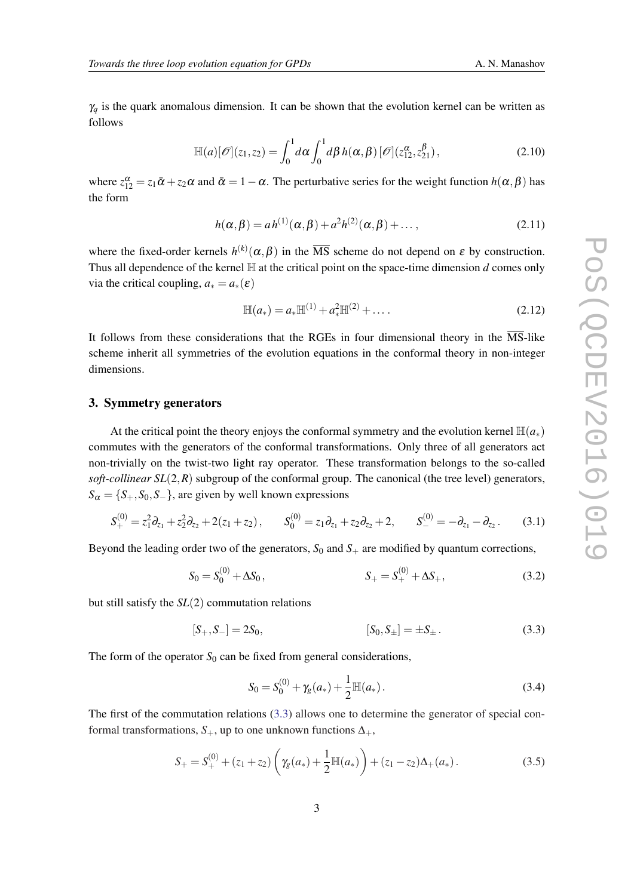<span id="page-3-0"></span> $\gamma_q$  is the quark anomalous dimension. It can be shown that the evolution kernel can be written as follows

$$
\mathbb{H}(a)[\mathscr{O}](z_1,z_2) = \int_0^1 d\alpha \int_0^1 d\beta h(\alpha,\beta) [\mathscr{O}](z_{12}^{\alpha},z_{21}^{\beta}), \qquad (2.10)
$$

where  $z_{12}^{\alpha} = z_1 \bar{\alpha} + z_2 \alpha$  and  $\bar{\alpha} = 1 - \alpha$ . The perturbative series for the weight function  $h(\alpha, \beta)$  has the form

$$
h(\alpha, \beta) = ah^{(1)}(\alpha, \beta) + a^2 h^{(2)}(\alpha, \beta) + \dots,
$$
\n(2.11)

where the fixed-order kernels  $h^{(k)}(\alpha, \beta)$  in the  $\overline{\text{MS}}$  scheme do not depend on  $\varepsilon$  by construction. Thus all dependence of the kernel  $\mathbb H$  at the critical point on the space-time dimension *d* comes only via the critical coupling,  $a_*=a_*(\varepsilon)$ 

$$
\mathbb{H}(a_*) = a_* \mathbb{H}^{(1)} + a_*^2 \mathbb{H}^{(2)} + \dots
$$
 (2.12)

It follows from these considerations that the RGEs in four dimensional theory in the  $\overline{\text{MS}}$ -like scheme inherit all symmetries of the evolution equations in the conformal theory in non-integer dimensions.

#### 3. Symmetry generators

At the critical point the theory enjoys the conformal symmetry and the evolution kernel  $\mathbb{H}(a_*)$ commutes with the generators of the conformal transformations. Only three of all generators act non-trivially on the twist-two light ray operator. These transformation belongs to the so-called *soft-collinear*  $SL(2,R)$  subgroup of the conformal group. The canonical (the tree level) generators,  $S_{\alpha} = \{S_+, S_0, S_-\}$ , are given by well known expressions

$$
S_+^{(0)} = z_1^2 \partial_{z_1} + z_2^2 \partial_{z_2} + 2(z_1 + z_2), \qquad S_0^{(0)} = z_1 \partial_{z_1} + z_2 \partial_{z_2} + 2, \qquad S_-^{(0)} = -\partial_{z_1} - \partial_{z_2} \,. \tag{3.1}
$$

Beyond the leading order two of the generators,  $S_0$  and  $S_+$  are modified by quantum corrections,

$$
S_0 = S_0^{(0)} + \Delta S_0, \qquad S_+ = S_+^{(0)} + \Delta S_+, \qquad (3.2)
$$

but still satisfy the *SL*(2) commutation relations

$$
[S_+, S_-] = 2S_0, \t\t [S_0, S_\pm] = \pm S_\pm. \t\t (3.3)
$$

The form of the operator  $S_0$  can be fixed from general considerations,

$$
S_0 = S_0^{(0)} + \gamma_g(a_*) + \frac{1}{2} \mathbb{H}(a_*) \,. \tag{3.4}
$$

The first of the commutation relations (3.3) allows one to determine the generator of special conformal transformations,  $S_+$ , up to one unknown functions  $\Delta_+$ ,

$$
S_{+} = S_{+}^{(0)} + (z_{1} + z_{2}) \left( \gamma_{g}(a_{*}) + \frac{1}{2} \mathbb{H}(a_{*}) \right) + (z_{1} - z_{2}) \Delta_{+}(a_{*}). \tag{3.5}
$$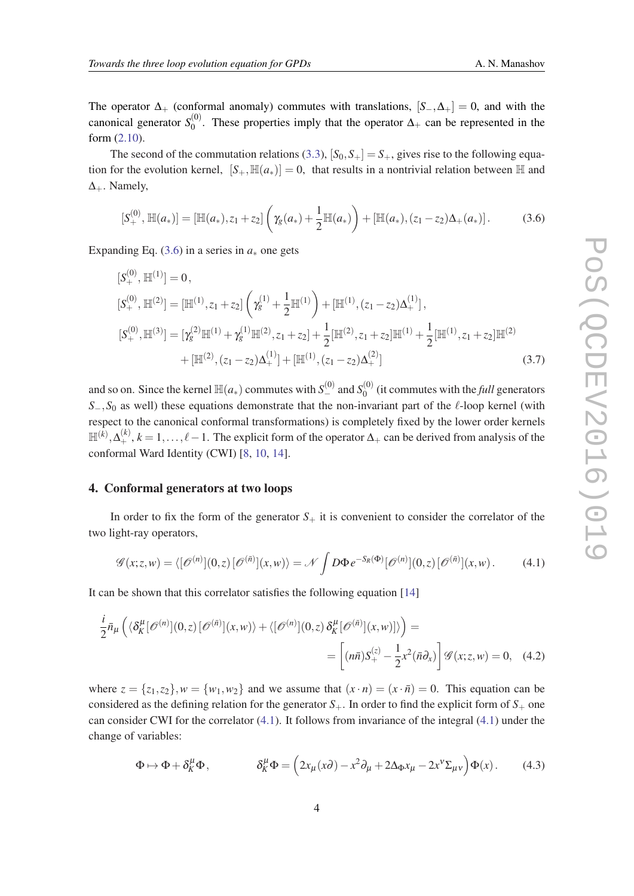The operator  $\Delta_+$  (conformal anomaly) commutes with translations,  $[S_-, \Delta_+] = 0$ , and with the canonical generator *S* (0)  $0^{\text{(0)}}$ . These properties imply that the operator  $\Delta_+$  can be represented in the form ([2.10\)](#page-3-0).

The second of the commutation relations [\(3.3\)](#page-3-0),  $[S_0, S_+] = S_+$ , gives rise to the following equation for the evolution kernel,  $[S_+, \mathbb{H}(a_*)] = 0$ , that results in a nontrivial relation between H and  $\Delta_+$ . Namely,

$$
[S^{(0)}_+, \mathbb{H}(a_*)] = [\mathbb{H}(a_*), z_1 + z_2] \left( \gamma_g(a_*) + \frac{1}{2} \mathbb{H}(a_*) \right) + [\mathbb{H}(a_*), (z_1 - z_2) \Delta_+(a_*)]. \tag{3.6}
$$

Expanding Eq.  $(3.6)$  in a series in  $a_*$  one gets

$$
\begin{split} \left[S_{+}^{(0)},\mathbb{H}^{(1)}\right] &= 0, \\ \left[S_{+}^{(0)},\mathbb{H}^{(2)}\right] &= \left[\mathbb{H}^{(1)},z_{1}+z_{2}\right] \left(\gamma_{g}^{(1)}+\frac{1}{2}\mathbb{H}^{(1)}\right)+\left[\mathbb{H}^{(1)},(z_{1}-z_{2})\Delta_{+}^{(1)}\right], \\ \left[S_{+}^{(0)},\mathbb{H}^{(3)}\right] &= \left[\gamma_{g}^{(2)}\mathbb{H}^{(1)}+\gamma_{g}^{(1)}\mathbb{H}^{(2)},z_{1}+z_{2}\right] + \frac{1}{2}\left[\mathbb{H}^{(2)},z_{1}+z_{2}\right]\mathbb{H}^{(1)} + \frac{1}{2}\left[\mathbb{H}^{(1)},z_{1}+z_{2}\right]\mathbb{H}^{(2)} \\ &+ \left[\mathbb{H}^{(2)},(z_{1}-z_{2})\Delta_{+}^{(1)}\right] + \left[\mathbb{H}^{(1)},(z_{1}-z_{2})\Delta_{+}^{(2)}\right] \end{split} \tag{3.7}
$$

and so on. Since the kernel  $\mathbb{H}(a_*)$  commutes with  $S^{(0)}_-$  and  $S^{(0)}_0$  $\int_0^{(0)}$  (it commutes with the *full* generators  $S_-, S_0$  as well) these equations demonstrate that the non-invariant part of the  $\ell$ -loop kernel (with respect to the canonical conformal transformations) is completely fixed by the lower order kernels  $\mathbb{H}^{(k)}, \Delta^{(k)}_+, k = 1, \ldots, \ell-1$ . The explicit form of the operator  $\Delta_+$  can be derived from analysis of the conformal Ward Identity (CWI) [\[8,](#page-7-0) [10](#page-7-0), [14\]](#page-7-0).

#### 4. Conformal generators at two loops

In order to fix the form of the generator  $S_+$  it is convenient to consider the correlator of the two light-ray operators,

$$
\mathscr{G}(x;z,w) = \langle [\mathscr{O}^{(n)}](0,z) [\mathscr{O}^{(\bar{n})}](x,w) \rangle = \mathscr{N} \int D\Phi \, e^{-S_R(\Phi)} [\mathscr{O}^{(n)}](0,z) [\mathscr{O}^{(\bar{n})}](x,w). \tag{4.1}
$$

It can be shown that this correlator satisfies the following equation [\[14](#page-7-0)]

$$
\frac{i}{2}\bar{n}_{\mu}\left(\langle\delta_{K}^{\mu}[\mathscr{O}^{(n)}](0,z)[\mathscr{O}^{(\bar{n})}](x,w)\rangle+\langle[\mathscr{O}^{(n)}](0,z)\delta_{K}^{\mu}[\mathscr{O}^{(\bar{n})}](x,w)]\rangle\right)=
$$
\n
$$
=\left[(n\bar{n})S_{+}^{(z)}-\frac{1}{2}x^{2}(\bar{n}\partial_{x})\right]\mathscr{G}(x;z,w)=0,\quad(4.2)
$$

where  $z = \{z_1, z_2\}$ ,  $w = \{w_1, w_2\}$  and we assume that  $(x \cdot n) = (x \cdot \overline{n}) = 0$ . This equation can be considered as the defining relation for the generator  $S_{+}$ . In order to find the explicit form of  $S_{+}$  one can consider CWI for the correlator (4.1). It follows from invariance of the integral (4.1) under the change of variables:

$$
\Phi \mapsto \Phi + \delta_K^{\mu} \Phi, \qquad \delta_K^{\mu} \Phi = \left(2x_{\mu}(x\partial) - x^2 \partial_{\mu} + 2\Delta_{\Phi} x_{\mu} - 2x^{\nu} \Sigma_{\mu\nu}\right) \Phi(x). \tag{4.3}
$$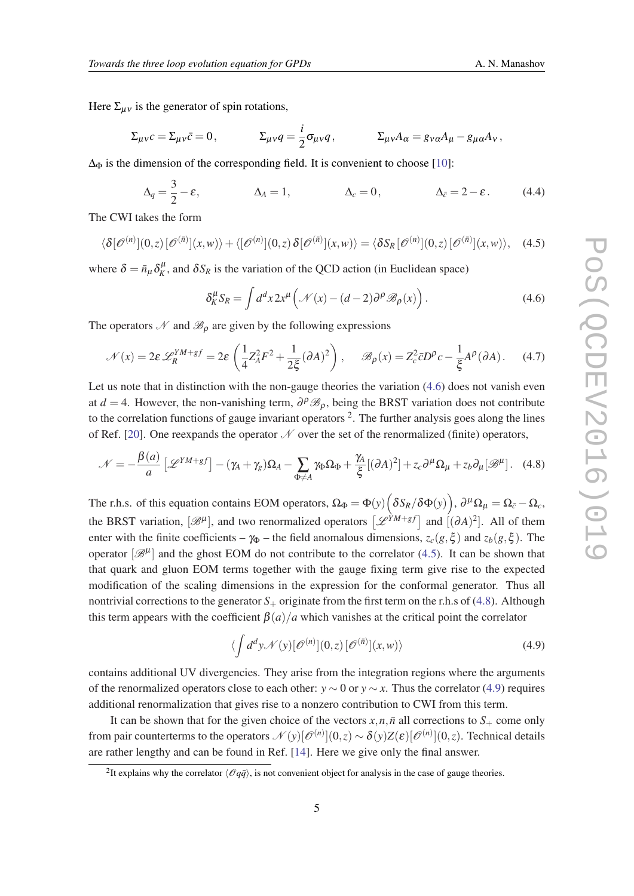Here  $\Sigma_{\mu\nu}$  is the generator of spin rotations,

$$
\Sigma_{\mu\nu}c = \Sigma_{\mu\nu}\bar{c} = 0, \qquad \qquad \Sigma_{\mu\nu}q = \frac{i}{2}\sigma_{\mu\nu}q, \qquad \qquad \Sigma_{\mu\nu}A_{\alpha} = g_{\nu\alpha}A_{\mu} - g_{\mu\alpha}A_{\nu},
$$

 $\Delta_{\Phi}$  is the dimension of the corresponding field. It is convenient to choose [\[10](#page-7-0)]:

$$
\Delta_q = \frac{3}{2} - \varepsilon, \qquad \Delta_A = 1, \qquad \Delta_c = 0, \qquad \Delta_{\bar{c}} = 2 - \varepsilon. \qquad (4.4)
$$

The CWI takes the form

$$
\langle \delta[\mathscr{O}^{(n)}](0,z) [\mathscr{O}^{(\bar{n})}](x,w) \rangle + \langle [\mathscr{O}^{(n)}](0,z) \delta[\mathscr{O}^{(\bar{n})}](x,w) \rangle = \langle \delta S_R[\mathscr{O}^{(n)}](0,z) [\mathscr{O}^{(\bar{n})}](x,w) \rangle, \quad (4.5)
$$

where  $\delta = \bar{n}_{\mu} \delta_K^{\mu}$ , and  $\delta S_R$  is the variation of the QCD action (in Euclidean space)

$$
\delta_K^{\mu} S_R = \int d^d x 2x^{\mu} \left( \mathcal{N}(x) - (d-2) \partial^{\rho} \mathcal{B}_{\rho}(x) \right). \tag{4.6}
$$

The operators  $\mathcal N$  and  $\mathcal B_{\rho}$  are given by the following expressions

$$
\mathcal{N}(x) = 2\varepsilon \mathcal{L}_R^{YM+gf} = 2\varepsilon \left(\frac{1}{4}Z_A^2 F^2 + \frac{1}{2\xi}(\partial A)^2\right), \quad \mathscr{B}_{\rho}(x) = Z_c^2 \bar{c}D^{\rho}c - \frac{1}{\xi}A^{\rho}(\partial A). \tag{4.7}
$$

Let us note that in distinction with the non-gauge theories the variation  $(4.6)$  does not vanish even at *d* = 4. However, the non-vanishing term,  $\partial^{\rho} \mathcal{B}_{\rho}$ , being the BRST variation does not contribute to the correlation functions of gauge invariant operators  $2$ . The further analysis goes along the lines of Ref. [[20\]](#page-8-0). One reexpands the operator  $\mathcal N$  over the set of the renormalized (finite) operators,

$$
\mathcal{N} = -\frac{\beta(a)}{a} \left[ \mathcal{L}^{YM+gf} \right] - (\gamma_A + \gamma_g) \Omega_A - \sum_{\Phi \neq A} \gamma_\Phi \Omega_\Phi + \frac{\gamma_A}{\xi} [(\partial A)^2] + z_c \partial^\mu \Omega_\mu + z_b \partial_\mu [\mathcal{B}^\mu]. \tag{4.8}
$$

The r.h.s. of this equation contains EOM operators,  $\Omega_{\Phi} = \Phi(y) \Big( \delta S_R / \delta \Phi(y) \Big)$ ,  $\partial^{\mu} \Omega_{\mu} = \Omega_{\bar{c}} - \Omega_c$ , the BRST variation,  $[\mathcal{B}^{\mu}]$ , and two renormalized operators  $[\mathcal{L}^{YM+gf}]$  and  $[(\partial A)^2]$ . All of them enter with the finite coefficients –  $\gamma_{\Phi}$  – the field anomalous dimensions,  $z_c(g,\xi)$  and  $z_b(g,\xi)$ . The operator  $[\mathscr{B}^{\mu}]$  and the ghost EOM do not contribute to the correlator (4.5). It can be shown that that quark and gluon EOM terms together with the gauge fixing term give rise to the expected modification of the scaling dimensions in the expression for the conformal generator. Thus all nontrivial corrections to the generator  $S_+$  originate from the first term on the r.h.s of (4.8). Although this term appears with the coefficient  $\beta(a)/a$  which vanishes at the critical point the correlator

$$
\langle \int d^d y \mathcal{N}(y) [\mathcal{O}^{(n)}](0, z) [\mathcal{O}^{(\bar{n})}](x, w) \rangle \tag{4.9}
$$

contains additional UV divergencies. They arise from the integration regions where the arguments of the renormalized operators close to each other:  $y \sim 0$  or  $y \sim x$ . Thus the correlator (4.9) requires additional renormalization that gives rise to a nonzero contribution to CWI from this term.

It can be shown that for the given choice of the vectors  $x, n, \bar{n}$  all corrections to  $S_+$  come only from pair counterterms to the operators  $\mathcal{N}(y)[\mathscr{O}^{(n)}](0,z) \sim \delta(y)Z(\varepsilon)[\mathscr{O}^{(n)}](0,z).$  Technical details are rather lengthy and can be found in Ref. [[14](#page-7-0)]. Here we give only the final answer.

<sup>&</sup>lt;sup>2</sup>It explains why the correlator  $\langle \mathcal{O}q\bar{q}\rangle$ , is not convenient object for analysis in the case of gauge theories.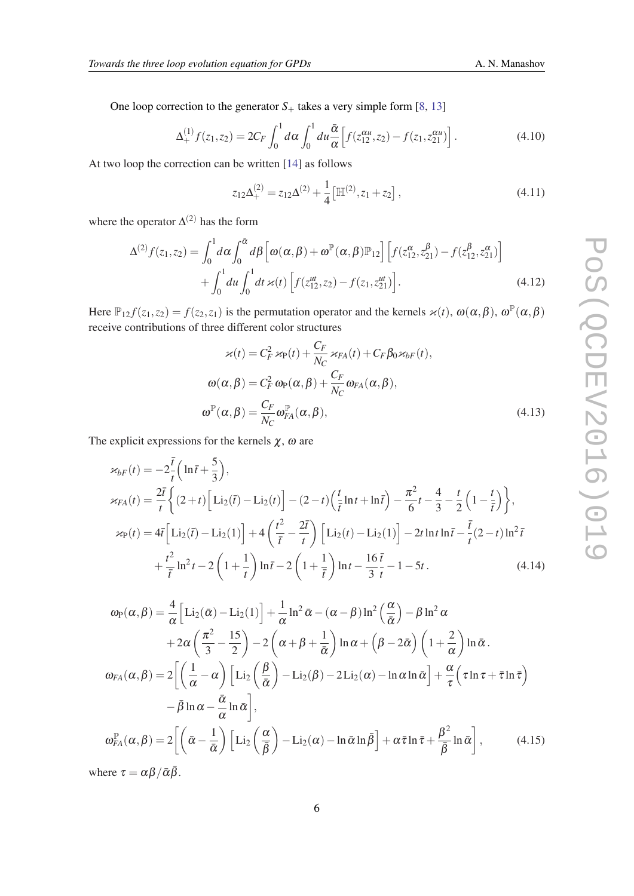One loop correction to the generator  $S_+$  takes a very simple form [[8](#page-7-0), [13](#page-7-0)]

$$
\Delta_{+}^{(1)} f(z_1, z_2) = 2C_F \int_0^1 d\alpha \int_0^1 du \frac{\bar{\alpha}}{\alpha} \left[ f(z_{12}^{\alpha u}, z_2) - f(z_1, z_{21}^{\alpha u}) \right]. \tag{4.10}
$$

At two loop the correction can be written [\[14](#page-7-0)] as follows

$$
z_{12}\Delta_{+}^{(2)} = z_{12}\Delta_{-}^{(2)} + \frac{1}{4} \left[ \mathbb{H}^{(2)}, z_1 + z_2 \right],
$$
\n(4.11)

where the operator  $\Delta^{(2)}$  has the form

$$
\Delta^{(2)} f(z_1, z_2) = \int_0^1 d\alpha \int_0^{\bar{\alpha}} d\beta \left[ \omega(\alpha, \beta) + \omega^{\mathbb{P}}(\alpha, \beta) \mathbb{P}_{12} \right] \left[ f(z_{12}^{\alpha}, z_{21}^{\beta}) - f(z_{12}^{\beta}, z_{21}^{\alpha}) \right] + \int_0^1 du \int_0^1 dt \, \varkappa(t) \left[ f(z_{12}^{\mu}, z_2) - f(z_1, z_{21}^{\mu}) \right].
$$
 (4.12)

Here  $\mathbb{P}_{12} f(z_1, z_2) = f(z_2, z_1)$  is the permutation operator and the kernels  $\varkappa(t)$ ,  $\omega(\alpha, \beta)$ ,  $\omega^{\mathbb{P}}(\alpha, \beta)$ receive contributions of three different color structures

$$
\varkappa(t) = C_F^2 \varkappa_{\rm P}(t) + \frac{C_F}{N_C} \varkappa_{FA}(t) + C_F \beta_0 \varkappa_{bF}(t),
$$
  
\n
$$
\omega(\alpha, \beta) = C_F^2 \omega_{\rm P}(\alpha, \beta) + \frac{C_F}{N_C} \omega_{FA}(\alpha, \beta),
$$
  
\n
$$
\omega^{\rm P}(\alpha, \beta) = \frac{C_F}{N_C} \omega_{FA}^{\rm P}(\alpha, \beta),
$$
  
\n(4.13)

The explicit expressions for the kernels  $\chi$ ,  $\omega$  are

$$
\varkappa_{bF}(t) = -2\frac{\bar{t}}{t} \left( \ln \bar{t} + \frac{5}{3} \right),
$$
  
\n
$$
\varkappa_{FA}(t) = \frac{2\bar{t}}{t} \left\{ (2+t) \left[ \text{Li}_2(\bar{t}) - \text{Li}_2(t) \right] - (2-t) \left( \frac{t}{\bar{t}} \ln t + \ln \bar{t} \right) - \frac{\pi^2}{6} t - \frac{4}{3} - \frac{t}{2} \left( 1 - \frac{t}{\bar{t}} \right) \right\},
$$
  
\n
$$
\varkappa_{P}(t) = 4\bar{t} \left[ \text{Li}_2(\bar{t}) - \text{Li}_2(1) \right] + 4 \left( \frac{t^2}{\bar{t}} - \frac{2\bar{t}}{t} \right) \left[ \text{Li}_2(t) - \text{Li}_2(1) \right] - 2t \ln t \ln \bar{t} - \frac{\bar{t}}{t} (2-t) \ln^2 \bar{t}
$$
  
\n
$$
+ \frac{t^2}{\bar{t}} \ln^2 t - 2 \left( 1 + \frac{1}{t} \right) \ln \bar{t} - 2 \left( 1 + \frac{1}{\bar{t}} \right) \ln t - \frac{16}{3} \frac{\bar{t}}{t} - 1 - 5t.
$$
 (4.14)

$$
\omega_{\mathsf{P}}(\alpha,\beta) = \frac{4}{\alpha} \Big[ \mathrm{Li}_{2}(\bar{\alpha}) - \mathrm{Li}_{2}(1) \Big] + \frac{1}{\alpha} \ln^{2} \bar{\alpha} - (\alpha - \beta) \ln^{2} \Big( \frac{\alpha}{\bar{\alpha}} \Big) - \beta \ln^{2} \alpha
$$
  
+  $2\alpha \Big( \frac{\pi^{2}}{3} - \frac{15}{2} \Big) - 2 \Big( \alpha + \beta + \frac{1}{\bar{\alpha}} \Big) \ln \alpha + \Big( \beta - 2\bar{\alpha} \Big) \Big( 1 + \frac{2}{\alpha} \Big) \ln \bar{\alpha}.$   

$$
\omega_{FA}(\alpha,\beta) = 2 \Big[ \Big( \frac{1}{\alpha} - \alpha \Big) \Big[ \mathrm{Li}_{2} \Big( \frac{\beta}{\bar{\alpha}} \Big) - \mathrm{Li}_{2}(\beta) - 2 \mathrm{Li}_{2}(\alpha) - \ln \alpha \ln \bar{\alpha} \Big] + \frac{\alpha}{\tau} \Big( \tau \ln \tau + \bar{\tau} \ln \bar{\tau} \Big)
$$
  
 $- \bar{\beta} \ln \alpha - \frac{\bar{\alpha}}{\alpha} \ln \bar{\alpha} \Big],$   

$$
\omega_{FA}^{p}(\alpha,\beta) = 2 \Big[ \Big( \bar{\alpha} - \frac{1}{\bar{\alpha}} \Big) \Big[ \mathrm{Li}_{2} \Big( \frac{\alpha}{\bar{\beta}} \Big) - \mathrm{Li}_{2}(\alpha) - \ln \bar{\alpha} \ln \bar{\beta} \Big] + \alpha \bar{\tau} \ln \bar{\tau} + \frac{\beta^{2}}{\bar{\beta}} \ln \bar{\alpha} \Big], \tag{4.15}
$$

where  $\tau = \alpha \beta / \bar{\alpha} \bar{\beta}$ .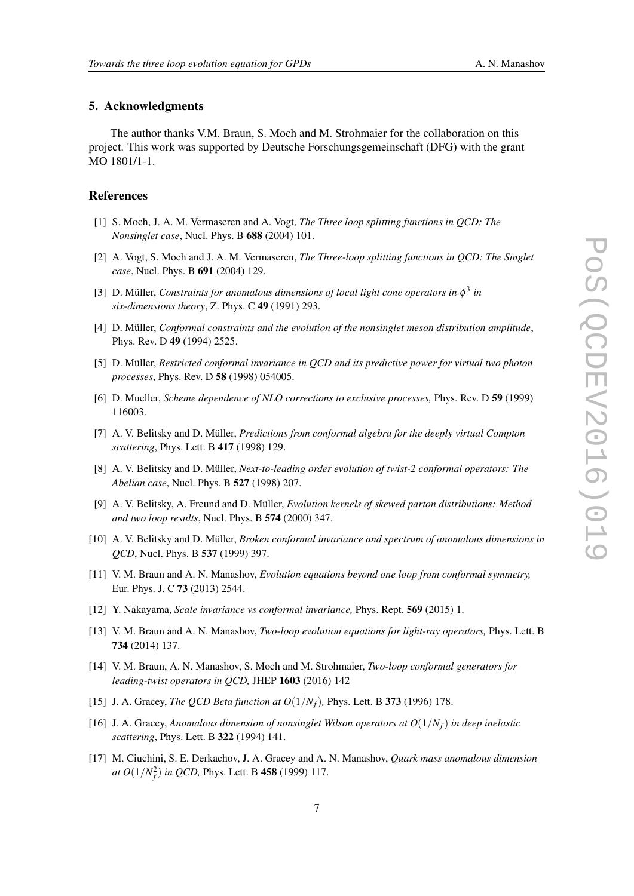#### <span id="page-7-0"></span>5. Acknowledgments

The author thanks V.M. Braun, S. Moch and M. Strohmaier for the collaboration on this project. This work was supported by Deutsche Forschungsgemeinschaft (DFG) with the grant MO 1801/1-1.

### **References**

- [1] S. Moch, J. A. M. Vermaseren and A. Vogt, *The Three loop splitting functions in QCD: The Nonsinglet case*, Nucl. Phys. B 688 (2004) 101.
- [2] A. Vogt, S. Moch and J. A. M. Vermaseren, *The Three-loop splitting functions in QCD: The Singlet case*, Nucl. Phys. B 691 (2004) 129.
- [3] D. Müller, *Constraints for anomalous dimensions of local light cone operators in*  $\phi^3$  *in six-dimensions theory*, Z. Phys. C 49 (1991) 293.
- [4] D. Müller, *Conformal constraints and the evolution of the nonsinglet meson distribution amplitude*, Phys. Rev. D 49 (1994) 2525.
- [5] D. Müller, *Restricted conformal invariance in QCD and its predictive power for virtual two photon processes*, Phys. Rev. D 58 (1998) 054005.
- [6] D. Mueller, *Scheme dependence of NLO corrections to exclusive processes,* Phys. Rev. D 59 (1999) 116003.
- [7] A. V. Belitsky and D. Müller, *Predictions from conformal algebra for the deeply virtual Compton scattering*, Phys. Lett. B 417 (1998) 129.
- [8] A. V. Belitsky and D. Müller, *Next-to-leading order evolution of twist-2 conformal operators: The Abelian case*, Nucl. Phys. B 527 (1998) 207.
- [9] A. V. Belitsky, A. Freund and D. Müller, *Evolution kernels of skewed parton distributions: Method and two loop results*, Nucl. Phys. B 574 (2000) 347.
- [10] A. V. Belitsky and D. Müller, *Broken conformal invariance and spectrum of anomalous dimensions in QCD*, Nucl. Phys. B 537 (1999) 397.
- [11] V. M. Braun and A. N. Manashov, *Evolution equations beyond one loop from conformal symmetry,* Eur. Phys. J. C 73 (2013) 2544.
- [12] Y. Nakayama, *Scale invariance vs conformal invariance,* Phys. Rept. 569 (2015) 1.
- [13] V. M. Braun and A. N. Manashov, *Two-loop evolution equations for light-ray operators,* Phys. Lett. B 734 (2014) 137.
- [14] V. M. Braun, A. N. Manashov, S. Moch and M. Strohmaier, *Two-loop conformal generators for leading-twist operators in QCD,* JHEP 1603 (2016) 142
- [15] J. A. Gracey, *The QCD Beta function at*  $O(1/N_f)$ , *Phys. Lett. B* 373 (1996) 178.
- [16] J. A. Gracey, *Anomalous dimension of nonsinglet Wilson operators at*  $O(1/N_f)$  *in deep inelastic scattering*, Phys. Lett. B 322 (1994) 141.
- [17] M. Ciuchini, S. E. Derkachov, J. A. Gracey and A. N. Manashov, *Quark mass anomalous dimension at O*(1/*N* 2 *f* ) *in QCD,* Phys. Lett. B 458 (1999) 117.